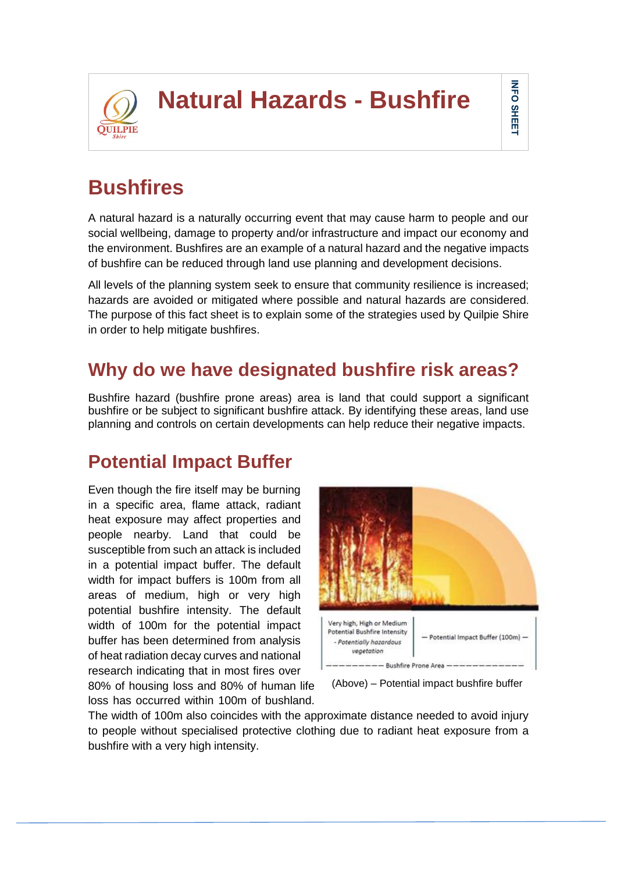

# **Bushfires**

A natural hazard is a naturally occurring event that may cause harm to people and our social wellbeing, damage to property and/or infrastructure and impact our economy and the environment. Bushfires are an example of a natural hazard and the negative impacts of bushfire can be reduced through land use planning and development decisions.

All levels of the planning system seek to ensure that community resilience is increased; hazards are avoided or mitigated where possible and natural hazards are considered. The purpose of this fact sheet is to explain some of the strategies used by Quilpie Shire in order to help mitigate bushfires.

## **Why do we have designated bushfire risk areas?**

Bushfire hazard (bushfire prone areas) area is land that could support a significant bushfire or be subject to significant bushfire attack. By identifying these areas, land use planning and controls on certain developments can help reduce their negative impacts.

### **Potential Impact Buffer**

Even though the fire itself may be burning in a specific area, flame attack, radiant heat exposure may affect properties and people nearby. Land that could be susceptible from such an attack is included in a potential impact buffer. The default width for impact buffers is 100m from all areas of medium, high or very high potential bushfire intensity. The default width of 100m for the potential impact buffer has been determined from analysis of heat radiation decay curves and national research indicating that in most fires over 80% of housing loss and 80% of human life

loss has occurred within 100m of bushland.



Ab(Above) – Potential impact bushfire buffer

The width of 100m also coincides with the approximate distance needed to avoid injury to people without specialised protective clothing due to radiant heat exposure from a bushfire with a very high intensity.